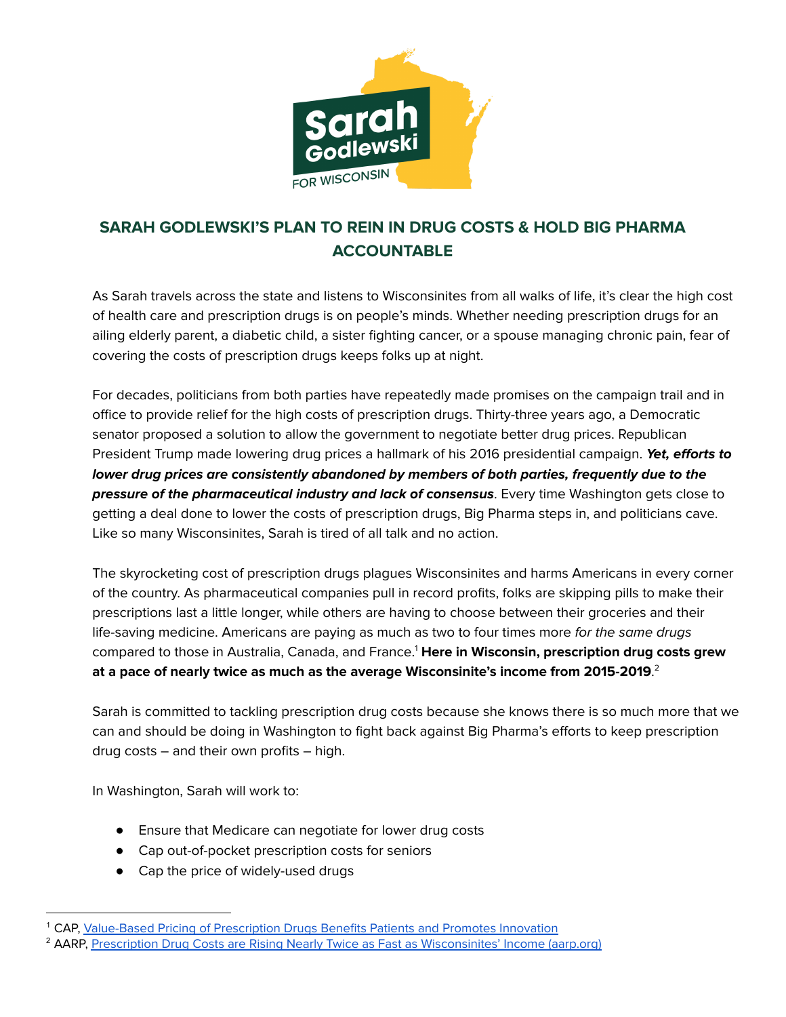

## **SARAH GODLEWSKI'S PLAN TO REIN IN DRUG COSTS & HOLD BIG PHARMA ACCOUNTABLE**

As Sarah travels across the state and listens to Wisconsinites from all walks of life, it's clear the high cost of health care and prescription drugs is on people's minds. Whether needing prescription drugs for an ailing elderly parent, a diabetic child, a sister fighting cancer, or a spouse managing chronic pain, fear of covering the costs of prescription drugs keeps folks up at night.

For decades, politicians from both parties have repeatedly made promises on the campaign trail and in office to provide relief for the high costs of prescription drugs. Thirty-three years ago, a Democratic senator proposed a solution to allow the government to negotiate better drug prices. Republican President Trump made lowering drug prices a hallmark of his 2016 presidential campaign. **Yet, efforts to lower drug prices are consistently abandoned by members of both parties, frequently due to the pressure of the pharmaceutical industry and lack of consensus**. Every time Washington gets close to getting a deal done to lower the costs of prescription drugs, Big Pharma steps in, and politicians cave. Like so many Wisconsinites, Sarah is tired of all talk and no action.

The skyrocketing cost of prescription drugs plagues Wisconsinites and harms Americans in every corner of the country. As pharmaceutical companies pull in record profits, folks are skipping pills to make their prescriptions last a little longer, while others are having to choose between their groceries and their life-saving medicine. Americans are paying as much as two to four times more for the same drugs compared to those in Australia, Canada, and France. <sup>1</sup> **Here in Wisconsin, prescription drug costs grew at a pace of nearly twice as much as the average Wisconsinite's income from 2015-2019**. 2

Sarah is committed to tackling prescription drug costs because she knows there is so much more that we can and should be doing in Washington to fight back against Big Pharma's efforts to keep prescription drug costs – and their own profits – high.

In Washington, Sarah will work to:

- Ensure that Medicare can negotiate for lower drug costs
- Cap out-of-pocket prescription costs for seniors
- Cap the price of widely-used drugs

<sup>1</sup> CAP, [Value-Based](https://www.americanprogress.org/article/value-based-pricing-prescription-drugs-benefits-patients-promotes-innovation/) Pricing of Prescription Drugs Benefits Patients and Promotes Innovation

<sup>&</sup>lt;sup>2</sup> AARP, Prescription Drug Costs are Rising Nearly Twice as Fast as [Wisconsinites'](https://states.aarp.org/wisconsin/rx-costs-rising-nearly-twice-as-fast-as-wisconsinites-income) Income (aarp.org)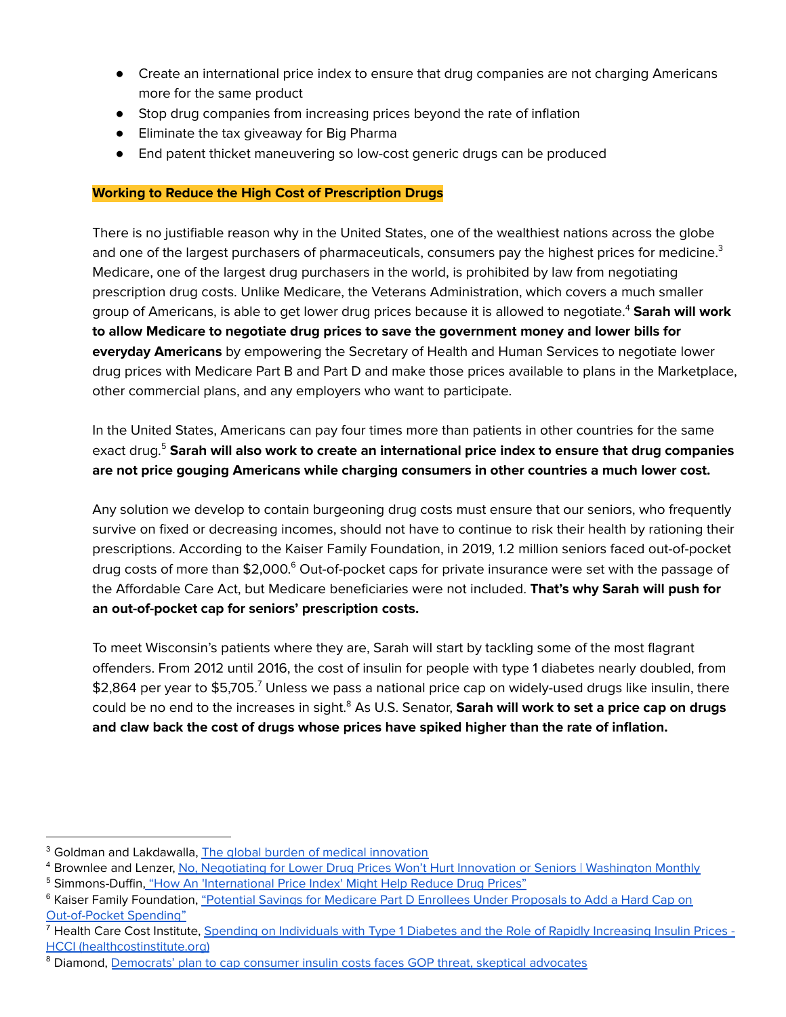- Create an international price index to ensure that drug companies are not charging Americans more for the same product
- Stop drug companies from increasing prices beyond the rate of inflation
- Eliminate the tax giveaway for Big Pharma
- End patent thicket maneuvering so low-cost generic drugs can be produced

## **Working to Reduce the High Cost of Prescription Drugs**

There is no justifiable reason why in the United States, one of the wealthiest nations across the globe and one of the largest purchasers of pharmaceuticals, consumers pay the highest prices for medicine. $^3$ Medicare, one of the largest drug purchasers in the world, is prohibited by law from negotiating prescription drug costs. Unlike Medicare, the Veterans Administration, which covers a much smaller group of Americans, is able to get lower drug prices because it is allowed to negotiate. <sup>4</sup> **Sarah will work to allow Medicare to negotiate drug prices to save the government money and lower bills for everyday Americans** by empowering the Secretary of Health and Human Services to negotiate lower drug prices with Medicare Part B and Part D and make those prices available to plans in the Marketplace, other commercial plans, and any employers who want to participate.

In the United States, Americans can pay four times more than patients in other countries for the same exact drug. <sup>5</sup> **Sarah will also work to create an international price index to ensure that drug companies are not price gouging Americans while charging consumers in other countries a much lower cost.**

Any solution we develop to contain burgeoning drug costs must ensure that our seniors, who frequently survive on fixed or decreasing incomes, should not have to continue to risk their health by rationing their prescriptions. According to the Kaiser Family Foundation, in 2019, 1.2 million seniors faced out-of-pocket drug costs of more than \$2,000.<sup>6</sup> Out-of-pocket caps for private insurance were set with the passage of the Affordable Care Act, but Medicare beneficiaries were not included. **That's why Sarah will push for an out-of-pocket cap for seniors' prescription costs.**

To meet Wisconsin's patients where they are, Sarah will start by tackling some of the most flagrant offenders. From 2012 until 2016, the cost of insulin for people with type 1 diabetes nearly doubled, from  $$2,864$  per year to  $$5,705.^{7}$  Unless we pass a national price cap on widely-used drugs like insulin, there could be no end to the increases in sight. <sup>8</sup> As U.S. Senator, **Sarah will work to set a price cap on drugs and claw back the cost of drugs whose prices have spiked higher than the rate of inflation.**

<sup>&</sup>lt;sup>3</sup> Goldman and Lakdawalla, The global burden of medical [innovation](https://www.brookings.edu/research/the-global-burden-of-medical-innovation/)

<sup>5</sup> Simmons-Duffin, "How An ['International](https://www.npr.org/sections/health-shots/2019/09/19/762435585/how-an-international-price-index-might-help-reduce-drug-prices) Price Index' Might Help Reduce Drug Prices" 4 Brownlee and Lenzer, No, Negotiating for Lower Drug Prices Won't Hurt Innovation or Seniors | [Washington](https://washingtonmonthly.com/2021/10/26/no-negotiating-for-lower-drug-prices-wont-hurt-innovation-or-seniors/) Monthly

<sup>&</sup>lt;sup>6</sup> Kaiser Family Foundation, "Potential Savings for Medicare Part D Enrollees Under [Proposals](https://www.kff.org/medicare/issue-brief/potential-savings-for-medicare-part-d-enrollees-under-proposals-to-add-a-hard-cap-on-out-of-pocket-spending/) to Add a Hard Cap on [Out-of-Pocket](https://www.kff.org/medicare/issue-brief/potential-savings-for-medicare-part-d-enrollees-under-proposals-to-add-a-hard-cap-on-out-of-pocket-spending/) Spending"

<sup>&</sup>lt;sup>7</sup> Health Care Cost Institute, Spending on [Individuals](https://healthcostinstitute.org/diabetes-and-insulin/spending-on-individuals-with-type-1-diabetes-and-the-role-of-rapidly-increasing-insulin-prices) with Type 1 Diabetes and the Role of Rapidly Increasing Insulin Prices -HCCI [\(healthcostinstitute.org\)](https://healthcostinstitute.org/diabetes-and-insulin/spending-on-individuals-with-type-1-diabetes-and-the-role-of-rapidly-increasing-insulin-prices)

<sup>&</sup>lt;sup>8</sup> Diamond, [Democrats'](https://www.washingtonpost.com/health/2021/12/13/35-dollar-cap-insulin-build-back-better-act/) plan to cap consumer insulin costs faces GOP threat, skeptical advocates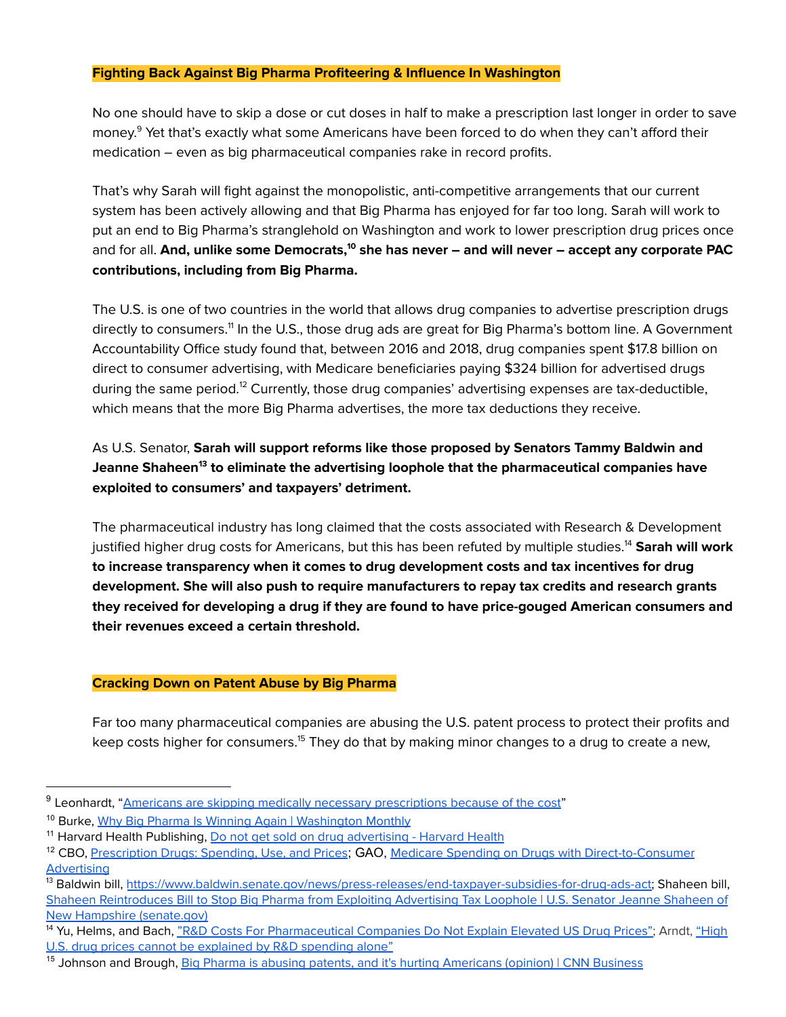## **Fighting Back Against Big Pharma Profiteering & Influence In Washington**

No one should have to skip a dose or cut doses in half to make a prescription last longer in order to save money. <sup>9</sup> Yet that's exactly what some Americans have been forced to do when they can't afford their medication – even as big pharmaceutical companies rake in record profits.

That's why Sarah will fight against the monopolistic, anti-competitive arrangements that our current system has been actively allowing and that Big Pharma has enjoyed for far too long. Sarah will work to put an end to Big Pharma's stranglehold on Washington and work to lower prescription drug prices once and for all. **And, unlike some Democrats, <sup>10</sup> she has never – and will never – accept any corporate PAC contributions, including from Big Pharma.**

The U.S. is one of two countries in the world that allows drug companies to advertise prescription drugs directly to consumers.<sup>11</sup> In the U.S., those drug ads are great for Big Pharma's bottom line. A Government Accountability Office study found that, between 2016 and 2018, drug companies spent \$17.8 billion on direct to consumer advertising, with Medicare beneficiaries paying \$324 billion for advertised drugs during the same period.<sup>12</sup> Currently, those drug companies' advertising expenses are tax-deductible, which means that the more Big Pharma advertises, the more tax deductions they receive.

As U.S. Senator, **Sarah will support reforms like those proposed by Senators Tammy Baldwin and Jeanne Shaheen 13 to eliminate the advertising loophole that the pharmaceutical companies have exploited to consumers' and taxpayers' detriment.**

The pharmaceutical industry has long claimed that the costs associated with Research & Development justified higher drug costs for Americans, but this has been refuted by multiple studies. <sup>14</sup> **Sarah will work to increase transparency when it comes to drug development costs and tax incentives for drug development. She will also push to require manufacturers to repay tax credits and research grants they received for developing a drug if they are found to have price-gouged American consumers and their revenues exceed a certain threshold.**

## **Cracking Down on Patent Abuse by Big Pharma**

Far too many pharmaceutical companies are abusing the U.S. patent process to protect their profits and keep costs higher for consumers.<sup>15</sup> They do that by making minor changes to a drug to create a new,

<sup>&</sup>lt;sup>10</sup> Burke, Why Big Pharma Is Winning Again | [Washington](https://washingtonmonthly.com/2021/10/20/why-big-pharma-is-winning-again/) Monthly <sup>9</sup> Leonhardt, "Americans are skipping medically necessary [prescriptions](https://www.cnbc.com/2020/02/26/people-skipping-medically-necessary-drugs-because-they-cost-too-much.html) because of the cost"

<sup>&</sup>lt;sup>11</sup> Harvard Health Publishing, Do not get sold on drug [advertising](https://www.health.harvard.edu/medications/do-not-get-sold-on-drug-advertising) - Harvard Health

<sup>&</sup>lt;sup>12</sup> CBO, [Prescription](https://www.cbo.gov/system/files/2022-01/57050-Rx-Spending.pdf) Drugs: Spending, Use, and Prices; GAO, Medicare Spending on Drugs with [Direct-to-Consumer](http://gao.gov/assets/gao-21-380.pdf) **[Advertising](http://gao.gov/assets/gao-21-380.pdf)** 

<sup>&</sup>lt;sup>13</sup> Baldwin bill, <u>https://www.baldwin.senate.gov/news/press-releases/end-taxpayer-subsidies-for-drug-ads-act</u>; Shaheen bill, Shaheen [Reintroduces](https://www.shaheen.senate.gov/news/press/shaheen-reintroduces-bill-to-stop-big-pharma-from-exploiting-advertising-tax-loophole) Bill to Stop Big Pharma from Exploiting Advertising Tax Loophole | U.S. Senator Jeanne Shaheen of New Hampshire [\(senate.gov\)](https://www.shaheen.senate.gov/news/press/shaheen-reintroduces-bill-to-stop-big-pharma-from-exploiting-advertising-tax-loophole)

<sup>&</sup>lt;sup>14</sup> Yu, Helms, and Bach, "R&D Costs For [Pharmaceutical](https://www.healthaffairs.org/do/10.1377/forefront.20170307.059036/full/) Companies Do Not Explain Elevated US Drug Prices"; Arndt, ["High](https://www.modernhealthcare.com/article/20170307/NEWS/170309919/high-u-s-drug-prices-cannot-be-explained-by-r-d-spending-alone) U.S. drug prices cannot be [explained](https://www.modernhealthcare.com/article/20170307/NEWS/170309919/high-u-s-drug-prices-cannot-be-explained-by-r-d-spending-alone) by R&D spending alone"

<sup>&</sup>lt;sup>15</sup> Johnson and Brough, **Big Pharma is abusing patents, and it's hurting [Americans](https://www.cnn.com/2019/09/12/perspectives/drug-patents-abuse/index.html) (opinion) | CNN Business**